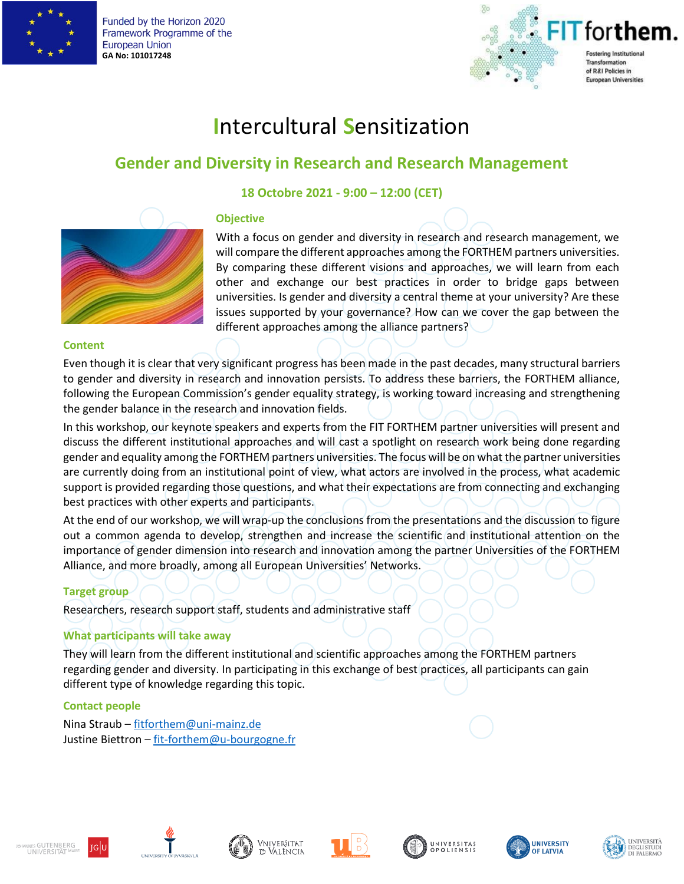

Funded by the Horizon 2020 Framework Programme of the **European Union GA No: 101017248**



# **I**ntercultural **S**ensitization

# **Gender and Diversity in Research and Research Management**

### **18 Octobre 2021 - 9:00 – 12:00 (CET)**





With a focus on gender and diversity in research and research management, we will compare the different approaches among the FORTHEM partners universities. By comparing these different visions and approaches, we will learn from each other and exchange our best practices in order to bridge gaps between universities. Is gender and diversity a central theme at your university? Are these issues supported by your governance? How can we cover the gap between the different approaches among the alliance partners?

#### **Content**

Even though it is clear that very significant progress has been made in the past decades, many structural barriers to gender and diversity in research and innovation persists. To address these barriers, the FORTHEM alliance, following the European Commission's gender equality strategy, is working toward increasing and strengthening the gender balance in the research and innovation fields.

In this workshop, our keynote speakers and experts from the FIT FORTHEM partner universities will present and discuss the different institutional approaches and will cast a spotlight on research work being done regarding gender and equality among the FORTHEM partners universities. The focus will be on what the partner universities are currently doing from an institutional point of view, what actors are involved in the process, what academic support is provided regarding those questions, and what their expectations are from connecting and exchanging best practices with other experts and participants.

At the end of our workshop, we will wrap-up the conclusions from the presentations and the discussion to figure out a common agenda to develop, strengthen and increase the scientific and institutional attention on the importance of gender dimension into research and innovation among the partner Universities of the FORTHEM Alliance, and more broadly, among all European Universities' Networks.

#### **Target group**

Researchers, research support staff, students and administrative staff

#### **What participants will take away**

They will learn from the different institutional and scientific approaches among the FORTHEM partners regarding gender and diversity. In participating in this exchange of best practices, all participants can gain different type of knowledge regarding this topic.

#### **Contact people**

Nina Straub – [fitforthem@uni-mainz.de](mailto:fitforthem@uni-mainz.de) Justine Biettron – [fit-forthem@u-bourgogne.fr](mailto:fit-forthem@u-bourgogne.fr)